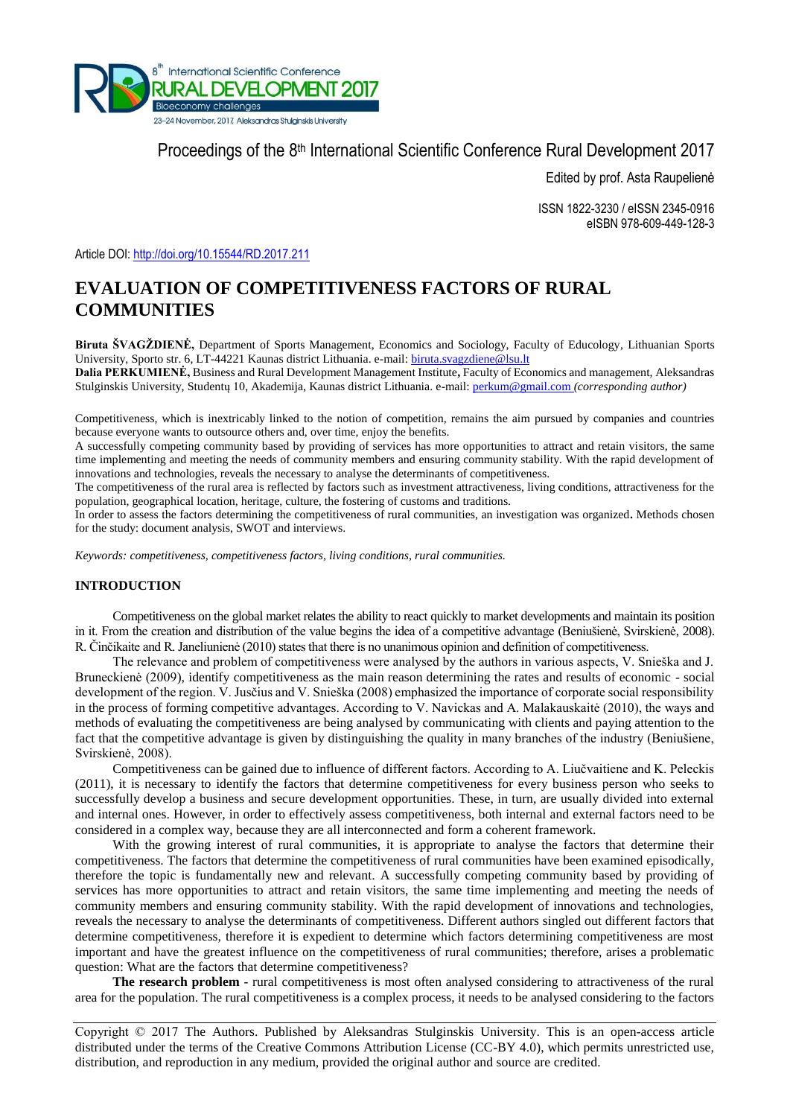

Proceedings of the 8<sup>th</sup> International Scientific Conference Rural Development 2017

Edited by prof. Asta Raupelienė

ISSN 1822-3230 / eISSN 2345-0916 eISBN 978-609-449-128-3

Article DOI:<http://doi.org/10.15544/RD.2017.211>

# **EVALUATION OF COMPETITIVENESS FACTORS OF RURAL COMMUNITIES**

**Biruta ŠVAGŽDIENĖ,** Department of Sports Management, Economics and Sociology, Faculty of Educology, Lithuanian Sports University, Sporto str. 6, LT-44221 Kaunas district Lithuania. e-mail: [biruta.svagzdiene@lsu.lt](mailto:biruta.svagzdiene@lsu.lt)

**Dalia PERKUMIENĖ,** Business and Rural Development Management Institute**,** Faculty of Economics and management, Aleksandras Stulginskis University, Studentų 10, Akademija, Kaunas district Lithuania. e-mail[: perkum@gmail.com](mailto:perkum@gmail.com) *(corresponding author)*

Competitiveness, which is inextricably linked to the notion of competition, remains the aim pursued by companies and countries because everyone wants to outsource others and, over time, enjoy the benefits.

A successfully competing community based by providing of services has more opportunities to attract and retain visitors, the same time implementing and meeting the needs of community members and ensuring community stability. With the rapid development of innovations and technologies, reveals the necessary to analyse the determinants of competitiveness.

The competitiveness of the rural area is reflected by factors such as investment attractiveness, living conditions, attractiveness for the population, geographical location, heritage, culture, the fostering of customs and traditions.

In order to assess the factors determining the competitiveness of rural communities, an investigation was organized**.** Methods chosen for the study: document analysis, SWOT and interviews.

*Keywords: competitiveness, competitiveness factors, living conditions, rural communities.*

## **INTRODUCTION**

Competitiveness on the global market relates the ability to react quickly to market developments and maintain its position in it. From the creation and distribution of the value begins the idea of a competitive advantage (Beniušienė, Svirskienė, 2008). R. Činčikaite and R. Janeliunienė (2010) states that there is no unanimous opinion and definition of competitiveness.

The relevance and problem of competitiveness were analysed by the authors in various aspects, V. Snieška and J. Bruneckienė (2009), identify competitiveness as the main reason determining the rates and results of economic - social development of the region. V. Jusčius and V. Snieška (2008) emphasized the importance of corporate social responsibility in the process of forming competitive advantages. According to V. Navickas and A. Malakauskaitė (2010), the ways and methods of evaluating the competitiveness are being analysed by communicating with clients and paying attention to the fact that the competitive advantage is given by distinguishing the quality in many branches of the industry (Beniušiene, Svirskienė, 2008).

Competitiveness can be gained due to influence of different factors. According to A. Liučvaitiene and K. Peleckis (2011), it is necessary to identify the factors that determine competitiveness for every business person who seeks to successfully develop a business and secure development opportunities. These, in turn, are usually divided into external and internal ones. However, in order to effectively assess competitiveness, both internal and external factors need to be considered in a complex way, because they are all interconnected and form a coherent framework.

With the growing interest of rural communities, it is appropriate to analyse the factors that determine their competitiveness. The factors that determine the competitiveness of rural communities have been examined episodically, therefore the topic is fundamentally new and relevant. A successfully competing community based by providing of services has more opportunities to attract and retain visitors, the same time implementing and meeting the needs of community members and ensuring community stability. With the rapid development of innovations and technologies, reveals the necessary to analyse the determinants of competitiveness. Different authors singled out different factors that determine competitiveness, therefore it is expedient to determine which factors determining competitiveness are most important and have the greatest influence on the competitiveness of rural communities; therefore, arises a problematic question: What are the factors that determine competitiveness?

**The research problem** - rural competitiveness is most often analysed considering to attractiveness of the rural area for the population. The rural competitiveness is a complex process, it needs to be analysed considering to the factors

Copyright © 2017 The Authors. Published by Aleksandras Stulginskis University. This is an open-access article distributed under the terms of the Creative Commons Attribution License (CC-BY 4.0), which permits unrestricted use, distribution, and reproduction in any medium, provided the original author and source are credited.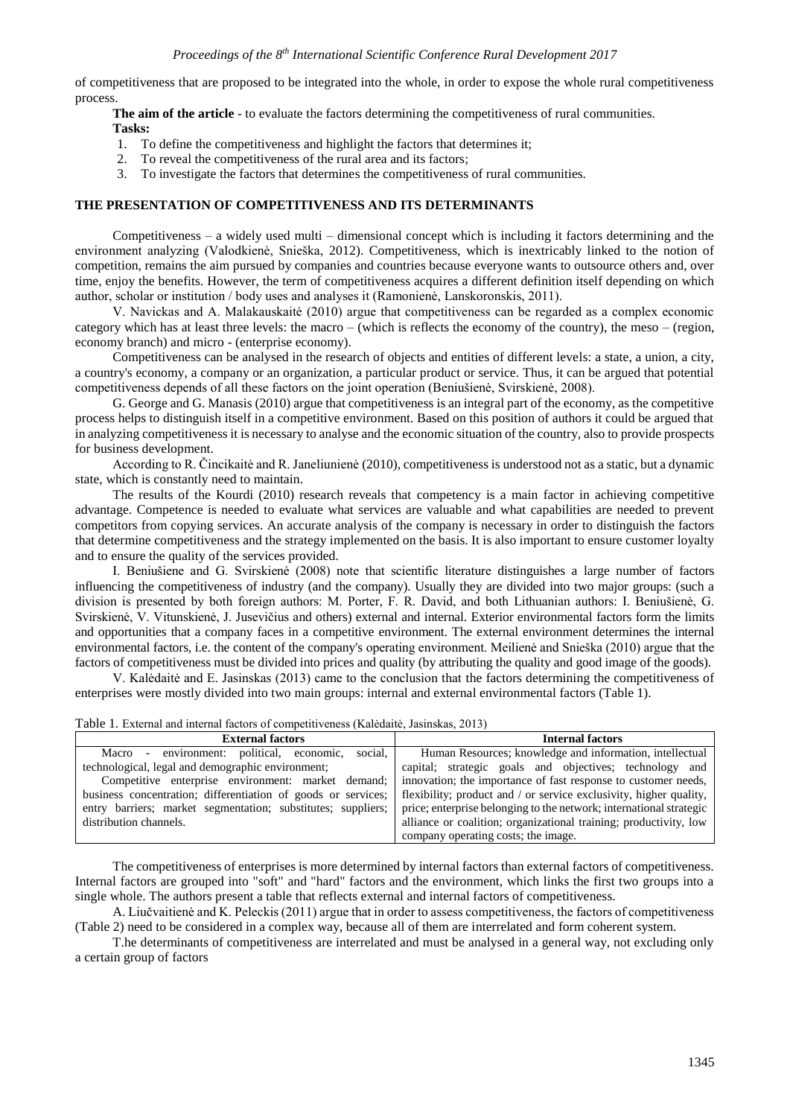of competitiveness that are proposed to be integrated into the whole, in order to expose the whole rural competitiveness process.

**The aim of the article** - to evaluate the factors determining the competitiveness of rural communities. **Tasks:**

- 
- 1. To define the competitiveness and highlight the factors that determines it;
- 2. To reveal the competitiveness of the rural area and its factors;
- 3. To investigate the factors that determines the competitiveness of rural communities.

#### **THE PRESENTATION OF COMPETITIVENESS AND ITS DETERMINANTS**

Competitiveness – a widely used multi – dimensional concept which is including it factors determining and the environment analyzing (Valodkienė, Snieška, 2012). Competitiveness, which is inextricably linked to the notion of competition, remains the aim pursued by companies and countries because everyone wants to outsource others and, over time, enjoy the benefits. However, the term of competitiveness acquires a different definition itself depending on which author, scholar or institution / body uses and analyses it (Ramonienė, Lanskoronskis, 2011).

V. Navickas and A. Malakauskaitė (2010) argue that competitiveness can be regarded as a complex economic category which has at least three levels: the macro – (which is reflects the economy of the country), the meso – (region, economy branch) and micro - (enterprise economy).

Competitiveness can be analysed in the research of objects and entities of different levels: a state, a union, a city, a country's economy, a company or an organization, a particular product or service. Thus, it can be argued that potential competitiveness depends of all these factors on the joint operation (Beniušienė, Svirskienė, 2008).

G. George and G. Manasis (2010) argue that competitiveness is an integral part of the economy, as the competitive process helps to distinguish itself in a competitive environment. Based on this position of authors it could be argued that in analyzing competitiveness it is necessary to analyse and the economic situation of the country, also to provide prospects for business development.

According to R. Čincikaitė and R. Janeliunienė (2010), competitiveness is understood not as a static, but a dynamic state, which is constantly need to maintain.

The results of the Kourdi (2010) research reveals that competency is a main factor in achieving competitive advantage. Competence is needed to evaluate what services are valuable and what capabilities are needed to prevent competitors from copying services. An accurate analysis of the company is necessary in order to distinguish the factors that determine competitiveness and the strategy implemented on the basis. It is also important to ensure customer loyalty and to ensure the quality of the services provided.

I. Beniušiene and G. Svirskienė (2008) note that scientific literature distinguishes a large number of factors influencing the competitiveness of industry (and the company). Usually they are divided into two major groups: (such a division is presented by both foreign authors: M. Porter, F. R. David, and both Lithuanian authors: I. Beniušienė, G. Svirskienė, V. Vitunskienė, J. Jusevičius and others) external and internal. Exterior environmental factors form the limits and opportunities that a company faces in a competitive environment. The external environment determines the internal environmental factors, i.e. the content of the company's operating environment. Meilienė and Snieška (2010) argue that the factors of competitiveness must be divided into prices and quality (by attributing the quality and good image of the goods).

V. Kalėdaitė and E. Jasinskas (2013) came to the conclusion that the factors determining the competitiveness of enterprises were mostly divided into two main groups: internal and external environmental factors (Table 1).

Table 1. External and internal factors of competitiveness (Kalėdaitė, Jasinskas, 2013)

| <b>External factors</b>                                       | <b>Internal factors</b>                                                                                           |
|---------------------------------------------------------------|-------------------------------------------------------------------------------------------------------------------|
| social,<br>Macro - environment: political, economic,          | Human Resources; knowledge and information, intellectual                                                          |
| technological, legal and demographic environment;             | capital; strategic goals and objectives; technology and                                                           |
|                                                               | Competitive enterprise environment: market demand; innovation; the importance of fast response to customer needs, |
| business concentration; differentiation of goods or services; | flexibility; product and / or service exclusivity, higher quality,                                                |
| entry barriers; market segmentation; substitutes; suppliers;  | price; enterprise belonging to the network; international strategic                                               |
| distribution channels.                                        | alliance or coalition; organizational training; productivity, low                                                 |
|                                                               | company operating costs; the image.                                                                               |

The competitiveness of enterprises is more determined by internal factors than external factors of competitiveness. Internal factors are grouped into "soft" and "hard" factors and the environment, which links the first two groups into a single whole. The authors present a table that reflects external and internal factors of competitiveness.

A. Liučvaitienė and K. Peleckis (2011) argue that in order to assess competitiveness, the factors of competitiveness (Table 2) need to be considered in a complex way, because all of them are interrelated and form coherent system.

T.he determinants of competitiveness are interrelated and must be analysed in a general way, not excluding only a certain group of factors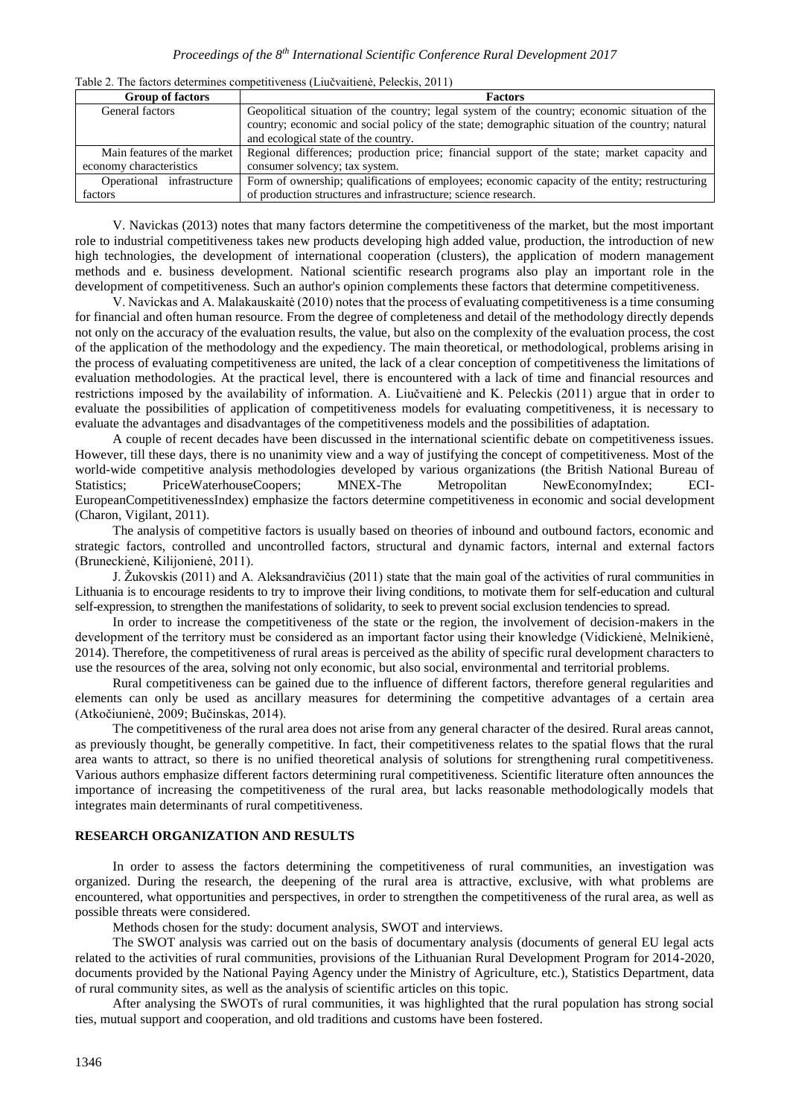| <b>Group of factors</b>     | <b>Factors</b>                                                                                  |
|-----------------------------|-------------------------------------------------------------------------------------------------|
| General factors             | Geopolitical situation of the country; legal system of the country; economic situation of the   |
|                             | country; economic and social policy of the state; demographic situation of the country; natural |
|                             | and ecological state of the country.                                                            |
| Main features of the market | Regional differences; production price; financial support of the state; market capacity and     |
| economy characteristics     | consumer solvency; tax system.                                                                  |
| Operational infrastructure  | Form of ownership; qualifications of employees; economic capacity of the entity; restructuring  |
| factors                     | of production structures and infrastructure; science research.                                  |

Table 2. The factors determines competitiveness (Liučvaitienė, Peleckis, 2011)

V. Navickas (2013) notes that many factors determine the competitiveness of the market, but the most important role to industrial competitiveness takes new products developing high added value, production, the introduction of new high technologies, the development of international cooperation (clusters), the application of modern management methods and e. business development. National scientific research programs also play an important role in the development of competitiveness. Such an author's opinion complements these factors that determine competitiveness.

V. Navickas and A. Malakauskaitė (2010) notes that the process of evaluating competitiveness is a time consuming for financial and often human resource. From the degree of completeness and detail of the methodology directly depends not only on the accuracy of the evaluation results, the value, but also on the complexity of the evaluation process, the cost of the application of the methodology and the expediency. The main theoretical, or methodological, problems arising in the process of evaluating competitiveness are united, the lack of a clear conception of competitiveness the limitations of evaluation methodologies. At the practical level, there is encountered with a lack of time and financial resources and restrictions imposed by the availability of information. A. Liučvaitienė and K. Peleckis (2011) argue that in order to evaluate the possibilities of application of competitiveness models for evaluating competitiveness, it is necessary to evaluate the advantages and disadvantages of the competitiveness models and the possibilities of adaptation.

A couple of recent decades have been discussed in the international scientific debate on competitiveness issues. However, till these days, there is no unanimity view and a way of justifying the concept of competitiveness. Most of the world-wide competitive analysis methodologies developed by various organizations (the British National Bureau of Statistics; PriceWaterhouseCoopers; MNEX-The Metropolitan NewEconomyIndex; ECI-EuropeanCompetitivenessIndex) emphasize the factors determine competitiveness in economic and social development (Charon, Vigilant, 2011).

The analysis of competitive factors is usually based on theories of inbound and outbound factors, economic and strategic factors, controlled and uncontrolled factors, structural and dynamic factors, internal and external factors (Bruneckienė, Kilijonienė, 2011).

J. Žukovskis (2011) and A. Aleksandravičius (2011) state that the main goal of the activities of rural communities in Lithuania is to encourage residents to try to improve their living conditions, to motivate them for self-education and cultural self-expression, to strengthen the manifestations of solidarity, to seek to prevent social exclusion tendencies to spread.

In order to increase the competitiveness of the state or the region, the involvement of decision-makers in the development of the territory must be considered as an important factor using their knowledge (Vidickienė, Melnikienė, 2014). Therefore, the competitiveness of rural areas is perceived as the ability of specific rural development characters to use the resources of the area, solving not only economic, but also social, environmental and territorial problems.

Rural competitiveness can be gained due to the influence of different factors, therefore general regularities and elements can only be used as ancillary measures for determining the competitive advantages of a certain area (Atkočiunienė, 2009; Bučinskas, 2014).

The competitiveness of the rural area does not arise from any general character of the desired. Rural areas cannot, as previously thought, be generally competitive. In fact, their competitiveness relates to the spatial flows that the rural area wants to attract, so there is no unified theoretical analysis of solutions for strengthening rural competitiveness. Various authors emphasize different factors determining rural competitiveness. Scientific literature often announces the importance of increasing the competitiveness of the rural area, but lacks reasonable methodologically models that integrates main determinants of rural competitiveness.

#### **RESEARCH ORGANIZATION AND RESULTS**

In order to assess the factors determining the competitiveness of rural communities, an investigation was organized. During the research, the deepening of the rural area is attractive, exclusive, with what problems are encountered, what opportunities and perspectives, in order to strengthen the competitiveness of the rural area, as well as possible threats were considered.

Methods chosen for the study: document analysis, SWOT and interviews.

The SWOT analysis was carried out on the basis of documentary analysis (documents of general EU legal acts related to the activities of rural communities, provisions of the Lithuanian Rural Development Program for 2014-2020, documents provided by the National Paying Agency under the Ministry of Agriculture, etc.), Statistics Department, data of rural community sites, as well as the analysis of scientific articles on this topic.

After analysing the SWOTs of rural communities, it was highlighted that the rural population has strong social ties, mutual support and cooperation, and old traditions and customs have been fostered.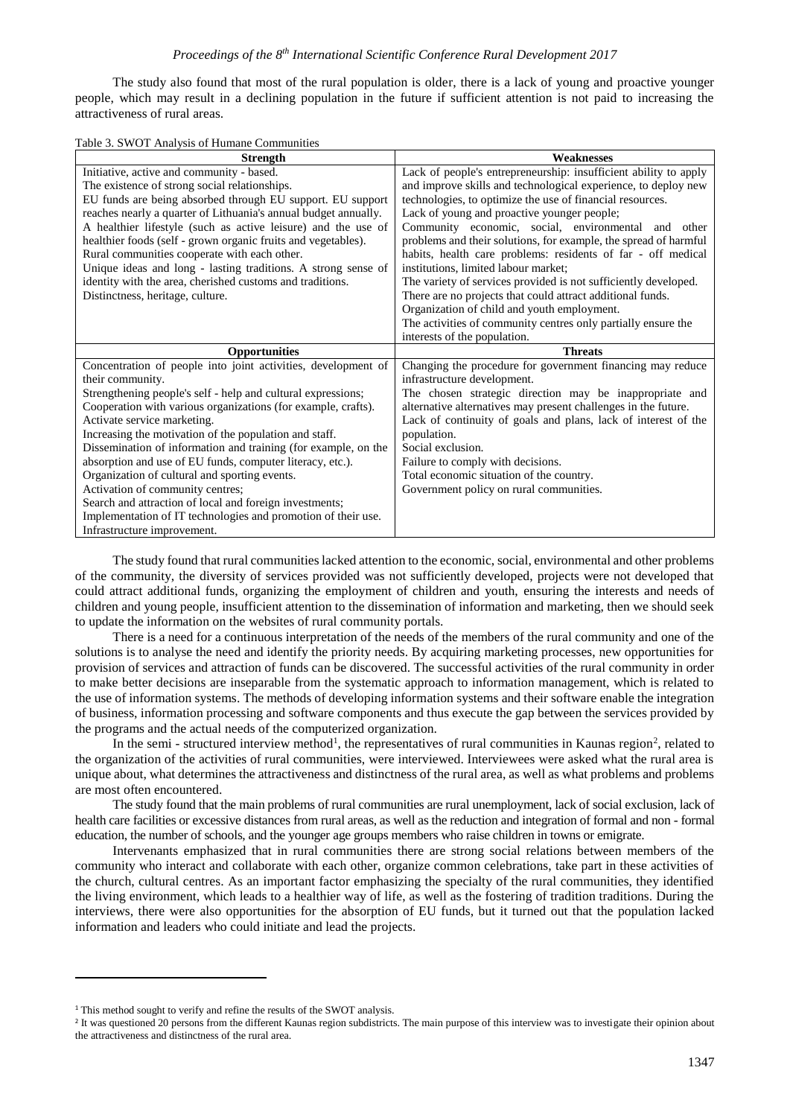The study also found that most of the rural population is older, there is a lack of young and proactive younger people, which may result in a declining population in the future if sufficient attention is not paid to increasing the attractiveness of rural areas.

| Table 3. SWOT Analysis of Humane Communities |  |  |  |  |  |  |
|----------------------------------------------|--|--|--|--|--|--|
|----------------------------------------------|--|--|--|--|--|--|

| <b>Strength</b>                                                 | <b>Weaknesses</b>                                                |
|-----------------------------------------------------------------|------------------------------------------------------------------|
| Initiative, active and community - based.                       | Lack of people's entrepreneurship: insufficient ability to apply |
| The existence of strong social relationships.                   | and improve skills and technological experience, to deploy new   |
| EU funds are being absorbed through EU support. EU support      | technologies, to optimize the use of financial resources.        |
| reaches nearly a quarter of Lithuania's annual budget annually. | Lack of young and proactive younger people;                      |
| A healthier lifestyle (such as active leisure) and the use of   | Community economic, social, environmental and other              |
| healthier foods (self - grown organic fruits and vegetables).   | problems and their solutions, for example, the spread of harmful |
| Rural communities cooperate with each other.                    | habits, health care problems: residents of far - off medical     |
| Unique ideas and long - lasting traditions. A strong sense of   | institutions, limited labour market;                             |
| identity with the area, cherished customs and traditions.       | The variety of services provided is not sufficiently developed.  |
| Distinctness, heritage, culture.                                | There are no projects that could attract additional funds.       |
|                                                                 | Organization of child and youth employment.                      |
|                                                                 | The activities of community centres only partially ensure the    |
|                                                                 | interests of the population.                                     |
|                                                                 |                                                                  |
| Opportunities                                                   | <b>Threats</b>                                                   |
| Concentration of people into joint activities, development of   | Changing the procedure for government financing may reduce       |
| their community.                                                | infrastructure development.                                      |
| Strengthening people's self - help and cultural expressions;    | The chosen strategic direction may be inappropriate and          |
| Cooperation with various organizations (for example, crafts).   | alternative alternatives may present challenges in the future.   |
| Activate service marketing.                                     | Lack of continuity of goals and plans, lack of interest of the   |
| Increasing the motivation of the population and staff.          | population.                                                      |
| Dissemination of information and training (for example, on the  | Social exclusion.                                                |
| absorption and use of EU funds, computer literacy, etc.).       | Failure to comply with decisions.                                |
| Organization of cultural and sporting events.                   | Total economic situation of the country.                         |
| Activation of community centres;                                | Government policy on rural communities.                          |
| Search and attraction of local and foreign investments;         |                                                                  |
| Implementation of IT technologies and promotion of their use.   |                                                                  |

The study found that rural communities lacked attention to the economic, social, environmental and other problems of the community, the diversity of services provided was not sufficiently developed, projects were not developed that could attract additional funds, organizing the employment of children and youth, ensuring the interests and needs of children and young people, insufficient attention to the dissemination of information and marketing, then we should seek to update the information on the websites of rural community portals.

There is a need for a continuous interpretation of the needs of the members of the rural community and one of the solutions is to analyse the need and identify the priority needs. By acquiring marketing processes, new opportunities for provision of services and attraction of funds can be discovered. The successful activities of the rural community in order to make better decisions are inseparable from the systematic approach to information management, which is related to the use of information systems. The methods of developing information systems and their software enable the integration of business, information processing and software components and thus execute the gap between the services provided by the programs and the actual needs of the computerized organization.

In the semi-structured interview method<sup>1</sup>, the representatives of rural communities in Kaunas region<sup>2</sup>, related to the organization of the activities of rural communities, were interviewed. Interviewees were asked what the rural area is unique about, what determines the attractiveness and distinctness of the rural area, as well as what problems and problems are most often encountered.

The study found that the main problems of rural communities are rural unemployment, lack of social exclusion, lack of health care facilities or excessive distances from rural areas, as well as the reduction and integration of formal and non - formal education, the number of schools, and the younger age groups members who raise children in towns or emigrate.

Intervenants emphasized that in rural communities there are strong social relations between members of the community who interact and collaborate with each other, organize common celebrations, take part in these activities of the church, cultural centres. As an important factor emphasizing the specialty of the rural communities, they identified the living environment, which leads to a healthier way of life, as well as the fostering of tradition traditions. During the interviews, there were also opportunities for the absorption of EU funds, but it turned out that the population lacked information and leaders who could initiate and lead the projects.

1

<sup>&</sup>lt;sup>1</sup> This method sought to verify and refine the results of the SWOT analysis.

<sup>&</sup>lt;sup>2</sup> It was questioned 20 persons from the different Kaunas region subdistricts. The main purpose of this interview was to investigate their opinion about the attractiveness and distinctness of the rural area.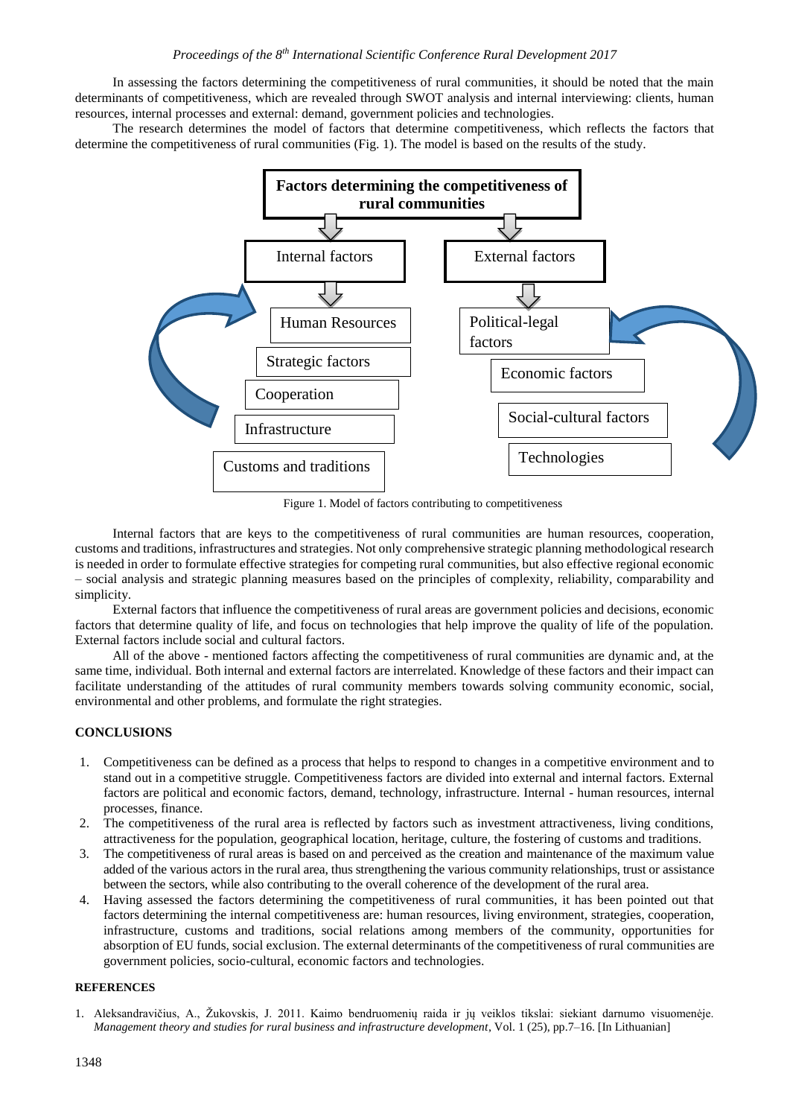In assessing the factors determining the competitiveness of rural communities, it should be noted that the main determinants of competitiveness, which are revealed through SWOT analysis and internal interviewing: clients, human resources, internal processes and external: demand, government policies and technologies.

The research determines the model of factors that determine competitiveness, which reflects the factors that determine the competitiveness of rural communities (Fig. 1). The model is based on the results of the study.



Figure 1. Model of factors contributing to competitiveness

Internal factors that are keys to the competitiveness of rural communities are human resources, cooperation, customs and traditions, infrastructures and strategies. Not only comprehensive strategic planning methodological research is needed in order to formulate effective strategies for competing rural communities, but also effective regional economic – social analysis and strategic planning measures based on the principles of complexity, reliability, comparability and simplicity.

External factors that influence the competitiveness of rural areas are government policies and decisions, economic factors that determine quality of life, and focus on technologies that help improve the quality of life of the population. External factors include social and cultural factors.

All of the above - mentioned factors affecting the competitiveness of rural communities are dynamic and, at the same time, individual. Both internal and external factors are interrelated. Knowledge of these factors and their impact can facilitate understanding of the attitudes of rural community members towards solving community economic, social, environmental and other problems, and formulate the right strategies.

#### **CONCLUSIONS**

- 1. Competitiveness can be defined as a process that helps to respond to changes in a competitive environment and to stand out in a competitive struggle. Competitiveness factors are divided into external and internal factors. External factors are political and economic factors, demand, technology, infrastructure. Internal - human resources, internal processes, finance.
- 2. The competitiveness of the rural area is reflected by factors such as investment attractiveness, living conditions, attractiveness for the population, geographical location, heritage, culture, the fostering of customs and traditions.
- 3. The competitiveness of rural areas is based on and perceived as the creation and maintenance of the maximum value added of the various actors in the rural area, thus strengthening the various community relationships, trust or assistance between the sectors, while also contributing to the overall coherence of the development of the rural area.
- 4. Having assessed the factors determining the competitiveness of rural communities, it has been pointed out that factors determining the internal competitiveness are: human resources, living environment, strategies, cooperation, infrastructure, customs and traditions, social relations among members of the community, opportunities for absorption of EU funds, social exclusion. The external determinants of the competitiveness of rural communities are government policies, socio-cultural, economic factors and technologies.

### **REFERENCES**

1. Aleksandravičius, A., Žukovskis, J. 2011. Kaimo bendruomenių raida ir jų veiklos tikslai: siekiant darnumo visuomenėje. *Management theory and studies for rural business and infrastructure development*, Vol. 1 (25), pp.7–16. [In Lithuanian]